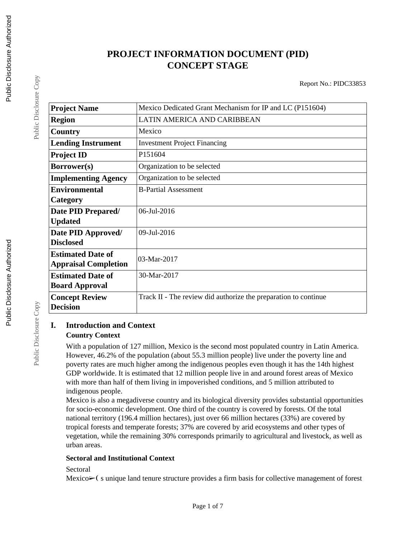# **PROJECT INFORMATION DOCUMENT (PID) CONCEPT STAGE**

Report No.: PIDC33853

| <b>Project Name</b>         | Mexico Dedicated Grant Mechanism for IP and LC (P151604)        |
|-----------------------------|-----------------------------------------------------------------|
| <b>Region</b>               | LATIN AMERICA AND CARIBBEAN                                     |
| Country                     | Mexico                                                          |
| <b>Lending Instrument</b>   | <b>Investment Project Financing</b>                             |
| <b>Project ID</b>           | P151604                                                         |
| Borrower(s)                 | Organization to be selected                                     |
| <b>Implementing Agency</b>  | Organization to be selected                                     |
| <b>Environmental</b>        | <b>B-Partial Assessment</b>                                     |
| Category                    |                                                                 |
| Date PID Prepared/          | 06-Jul-2016                                                     |
| <b>Updated</b>              |                                                                 |
| Date PID Approved/          | 09-Jul-2016                                                     |
| <b>Disclosed</b>            |                                                                 |
| <b>Estimated Date of</b>    | 03-Mar-2017                                                     |
| <b>Appraisal Completion</b> |                                                                 |
| <b>Estimated Date of</b>    | 30-Mar-2017                                                     |
| <b>Board Approval</b>       |                                                                 |
| <b>Concept Review</b>       | Track II - The review did authorize the preparation to continue |
| <b>Decision</b>             |                                                                 |

### **I. Introduction and Context Country Context**

With a population of 127 million, Mexico is the second most populated country in Latin America. However, 46.2% of the population (about 55.3 million people) live under the poverty line and poverty rates are much higher among the indigenous peoples even though it has the 14th highest GDP worldwide. It is estimated that 12 million people live in and around forest areas of Mexico with more than half of them living in impoverished conditions, and 5 million attributed to indigenous people.

Mexico is also a megadiverse country and its biological diversity provides substantial opportunities for socio-economic development. One third of the country is covered by forests. Of the total national territory (196.4 million hectares), just over 66 million hectares (33%) are covered by tropical forests and temperate forests; 37% are covered by arid ecosystems and other types of vegetation, while the remaining 30% corresponds primarily to agricultural and livestock, as well as urban areas.

#### **Sectoral and Institutional Context**

#### Sectoral

Mexico $\geq$ (s unique land tenure structure provides a firm basis for collective management of forest

Public Disclosure Copy

Public Disclosure Copy

Public Disclosure Copy

Public Disclosure Copy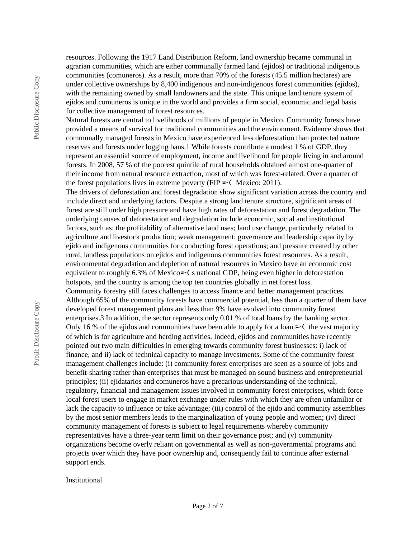resources. Following the 1917 Land Distribution Reform, land ownership became communal in agrarian communities, which are either communally farmed land (ejidos) or traditional indigenous communities (comuneros). As a result, more than 70% of the forests (45.5 million hectares) are under collective ownerships by 8,400 indigenous and non-indigenous forest communities (ejidos), with the remaining owned by small landowners and the state. This unique land tenure system of ejidos and comuneros is unique in the world and provides a firm social, economic and legal basis for collective management of forest resources.

Natural forests are central to livelihoods of millions of people in Mexico. Community forests have provided a means of survival for traditional communities and the environment. Evidence shows that communally managed forests in Mexico have experienced less deforestation than protected nature reserves and forests under logging bans.1 While forests contribute a modest 1 % of GDP, they represent an essential source of employment, income and livelihood for people living in and around forests. In 2008, 57 % of the poorest quintile of rural households obtained almost one-quarter of their income from natural resource extraction, most of which was forest-related. Over a quarter of the forest populations lives in extreme poverty (FIP  $\geq$  Mexico: 2011).

The drivers of deforestation and forest degradation show significant variation across the country and include direct and underlying factors. Despite a strong land tenure structure, significant areas of forest are still under high pressure and have high rates of deforestation and forest degradation. The underlying causes of deforestation and degradation include economic, social and institutional factors, such as: the profitability of alternative land uses; land use change, particularly related to agriculture and livestock production; weak management; governance and leadership capacity by ejido and indigenous communities for conducting forest operations; and pressure created by other rural, landless populations on ejidos and indigenous communities forest resources. As a result, environmental degradation and depletion of natural resources in Mexico have an economic cost equivalent to roughly 6.3% of Mexico $\triangleright$  (s national GDP, being even higher in deforestation hotspots, and the country is among the top ten countries globally in net forest loss.

Community forestry still faces challenges to access finance and better management practices. Although 65% of the community forests have commercial potential, less than a quarter of them have developed forest management plans and less than 9% have evolved into community forest enterprises.3 In addition, the sector represents only 0.01 % of total loans by the banking sector. Only 16 % of the ejidos and communities have been able to apply for a loan  $\blacktriangleright$  (the vast majority of which is for agriculture and herding activities. Indeed, ejidos and communities have recently pointed out two main difficulties in emerging towards community forest businesses: i) lack of finance, and ii) lack of technical capacity to manage investments. Some of the community forest management challenges include: (i) community forest enterprises are seen as a source of jobs and benefit-sharing rather than enterprises that must be managed on sound business and entrepreneurial principles; (ii) ejidatarios and comuneros have a precarious understanding of the technical, regulatory, financial and management issues involved in community forest enterprises, which force local forest users to engage in market exchange under rules with which they are often unfamiliar or lack the capacity to influence or take advantage; (iii) control of the ejido and community assemblies by the most senior members leads to the marginalization of young people and women; (iv) direct community management of forests is subject to legal requirements whereby community representatives have a three-year term limit on their governance post; and (v) community organizations become overly reliant on governmental as well as non-governmental programs and projects over which they have poor ownership and, consequently fail to continue after external support ends.

Institutional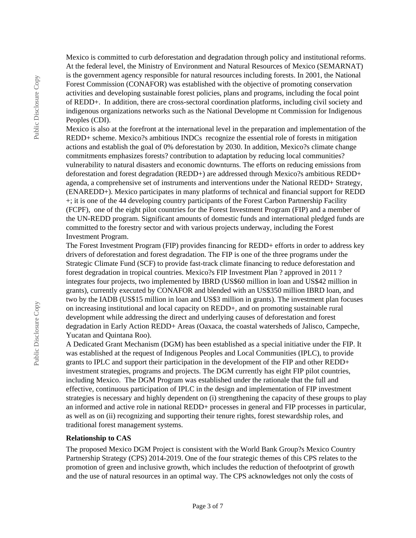Mexico is committed to curb deforestation and degradation through policy and institutional reforms. At the federal level, the Ministry of Environment and Natural Resources of Mexico (SEMARNAT) is the government agency responsible for natural resources including forests. In 2001, the National Forest Commission (CONAFOR) was established with the objective of promoting conservation activities and developing sustainable forest policies, plans and programs, including the focal point of REDD+. In addition, there are cross-sectoral coordination platforms, including civil society and indigenous organizations networks such as the National Developme nt Commission for Indigenous Peoples (CDI).

Mexico is also at the forefront at the international level in the preparation and implementation of the REDD+ scheme. Mexico?s ambitious INDCs recognize the essential role of forests in mitigation actions and establish the goal of 0% deforestation by 2030. In addition, Mexico?s climate change commitments emphasizes forests? contribution to adaptation by reducing local communities? vulnerability to natural disasters and economic downturns. The efforts on reducing emissions from deforestation and forest degradation (REDD+) are addressed through Mexico?s ambitious REDD+ agenda, a comprehensive set of instruments and interventions under the National REDD+ Strategy, (ENAREDD+). Mexico participates in many platforms of technical and financial support for REDD +; it is one of the 44 developing country participants of the Forest Carbon Partnership Facility (FCPF), one of the eight pilot countries for the Forest Investment Program (FIP) and a member of the UN-REDD program. Significant amounts of domestic funds and international pledged funds are committed to the forestry sector and with various projects underway, including the Forest Investment Program.

The Forest Investment Program (FIP) provides financing for REDD+ efforts in order to address key drivers of deforestation and forest degradation. The FIP is one of the three programs under the Strategic Climate Fund (SCF) to provide fast-track climate financing to reduce deforestation and forest degradation in tropical countries. Mexico?s FIP Investment Plan ? approved in 2011 ? integrates four projects, two implemented by IBRD (US\$60 million in loan and US\$42 million in grants), currently executed by CONAFOR and blended with an US\$350 million IBRD loan, and two by the IADB (US\$15 million in loan and US\$3 million in grants). The investment plan focuses on increasing institutional and local capacity on REDD+, and on promoting sustainable rural development while addressing the direct and underlying causes of deforestation and forest degradation in Early Action REDD+ Areas (Oaxaca, the coastal watersheds of Jalisco, Campeche, Yucatan and Quintana Roo).

A Dedicated Grant Mechanism (DGM) has been established as a special initiative under the FIP. It was established at the request of Indigenous Peoples and Local Communities (IPLC), to provide grants to IPLC and support their participation in the development of the FIP and other REDD+ investment strategies, programs and projects. The DGM currently has eight FIP pilot countries, including Mexico. The DGM Program was established under the rationale that the full and effective, continuous participation of IPLC in the design and implementation of FIP investment strategies is necessary and highly dependent on (i) strengthening the capacity of these groups to play an informed and active role in national REDD+ processes in general and FIP processes in particular, as well as on (ii) recognizing and supporting their tenure rights, forest stewardship roles, and traditional forest management systems.

#### **Relationship to CAS**

The proposed Mexico DGM Project is consistent with the World Bank Group?s Mexico Country Partnership Strategy (CPS) 2014-2019. One of the four strategic themes of this CPS relates to the promotion of green and inclusive growth, which includes the reduction of thefootprint of growth and the use of natural resources in an optimal way. The CPS acknowledges not only the costs of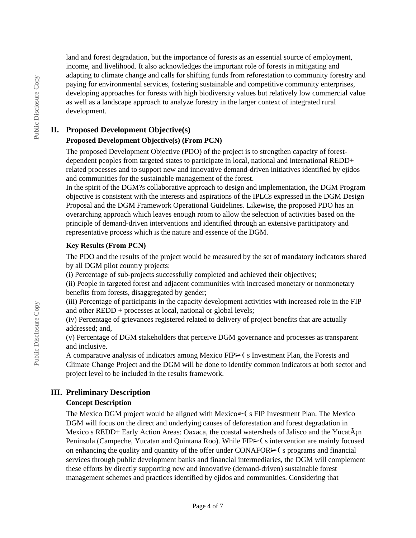land and forest degradation, but the importance of forests as an essential source of employment, income, and livelihood. It also acknowledges the important role of forests in mitigating and adapting to climate change and calls for shifting funds from reforestation to community forestry and paying for environmental services, fostering sustainable and competitive community enterprises, developing approaches for forests with high biodiversity values but relatively low commercial value as well as a landscape approach to analyze forestry in the larger context of integrated rural development.

### **II. Proposed Development Objective(s)**

### **Proposed Development Objective(s) (From PCN)**

The proposed Development Objective (PDO) of the project is to strengthen capacity of forestdependent peoples from targeted states to participate in local, national and international REDD+ related processes and to support new and innovative demand-driven initiatives identified by ejidos and communities for the sustainable management of the forest.

In the spirit of the DGM?s collaborative approach to design and implementation, the DGM Program objective is consistent with the interests and aspirations of the IPLCs expressed in the DGM Design Proposal and the DGM Framework Operational Guidelines. Likewise, the proposed PDO has an overarching approach which leaves enough room to allow the selection of activities based on the principle of demand-driven interventions and identified through an extensive participatory and representative process which is the nature and essence of the DGM.

### **Key Results (From PCN)**

The PDO and the results of the project would be measured by the set of mandatory indicators shared by all DGM pilot country projects:

(i) Percentage of sub-projects successfully completed and achieved their objectives;

(ii) People in targeted forest and adjacent communities with increased monetary or nonmonetary benefits from forests, disaggregated by gender;

(iii) Percentage of participants in the capacity development activities with increased role in the FIP and other REDD + processes at local, national or global levels;

(iv) Percentage of grievances registered related to delivery of project benefits that are actually addressed; and,

(v) Percentage of DGM stakeholders that perceive DGM governance and processes as transparent and inclusive.

A comparative analysis of indicators among Mexico FIP► (s Investment Plan, the Forests and Climate Change Project and the DGM will be done to identify common indicators at both sector and project level to be included in the results framework.

## **III. Preliminary Description**

#### **Concept Description**

The Mexico DGM project would be aligned with Mexico $\triangleright$  s FIP Investment Plan. The Mexico DGM will focus on the direct and underlying causes of deforestation and forest degradation in Mexico s REDD+ Early Action Areas: Oaxaca, the coastal watersheds of Jalisco and the Yucat $\tilde{A}_{i}$ n Peninsula (Campeche, Yucatan and Quintana Roo). While FIP► (s intervention are mainly focused on enhancing the quality and quantity of the offer under CONAFOR $\triangleright$  (s programs and financial services through public development banks and financial intermediaries, the DGM will complement these efforts by directly supporting new and innovative (demand-driven) sustainable forest management schemes and practices identified by ejidos and communities. Considering that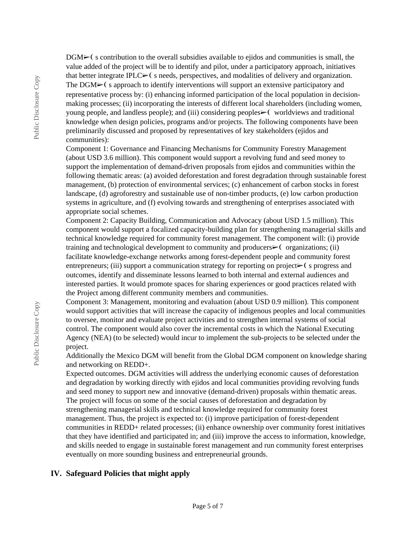$DGM<sup>5</sup>$  s contribution to the overall subsidies available to ejidos and communities is small, the value added of the project will be to identify and pilot, under a participatory approach, initiatives that better integrate IPLC $\triangleright$  (s needs, perspectives, and modalities of delivery and organization. The  $DGM<sub>></sub>$  (s approach to identify interventions will support an extensive participatory and representative process by: (i) enhancing informed participation of the local population in decisionmaking processes; (ii) incorporating the interests of different local shareholders (including women, young people, and landless people); and (iii) considering peoples⊳ (worldviews and traditional knowledge when design policies, programs and/or projects. The following components have been preliminarily discussed and proposed by representatives of key stakeholders (ejidos and communities):

Component 1: Governance and Financing Mechanisms for Community Forestry Management (about USD 3.6 million). This component would support a revolving fund and seed money to support the implementation of demand-driven proposals from ejidos and communities within the following thematic areas: (a) avoided deforestation and forest degradation through sustainable forest management, (b) protection of environmental services; (c) enhancement of carbon stocks in forest landscape, (d) agroforestry and sustainable use of non-timber products, (e) low carbon production systems in agriculture, and (f) evolving towards and strengthening of enterprises associated with appropriate social schemes.

Component 2: Capacity Building, Communication and Advocacy (about USD 1.5 million). This component would support a focalized capacity-building plan for strengthening managerial skills and technical knowledge required for community forest management. The component will: (i) provide training and technological development to community and producers $\triangleright$  (organizations; (ii) facilitate knowledge-exchange networks among forest-dependent people and community forest entrepreneurs; (iii) support a communication strategy for reporting on project $\triangleright$  (s progress and outcomes, identify and disseminate lessons learned to both internal and external audiences and interested parties. It would promote spaces for sharing experiences or good practices related with the Project among different community members and communities.

Component 3: Management, monitoring and evaluation (about USD 0.9 million). This component would support activities that will increase the capacity of indigenous peoples and local communities to oversee, monitor and evaluate project activities and to strengthen internal systems of social control. The component would also cover the incremental costs in which the National Executing Agency (NEA) (to be selected) would incur to implement the sub-projects to be selected under the project.

Additionally the Mexico DGM will benefit from the Global DGM component on knowledge sharing and networking on REDD+.

Expected outcomes. DGM activities will address the underlying economic causes of deforestation and degradation by working directly with ejidos and local communities providing revolving funds and seed money to support new and innovative (demand-driven) proposals within thematic areas. The project will focus on some of the social causes of deforestation and degradation by strengthening managerial skills and technical knowledge required for community forest management. Thus, the project is expected to: (i) improve participation of forest-dependent communities in REDD+ related processes; (ii) enhance ownership over community forest initiatives that they have identified and participated in; and (iii) improve the access to information, knowledge, and skills needed to engage in sustainable forest management and run community forest enterprises eventually on more sounding business and entrepreneurial grounds.

#### **IV. Safeguard Policies that might apply**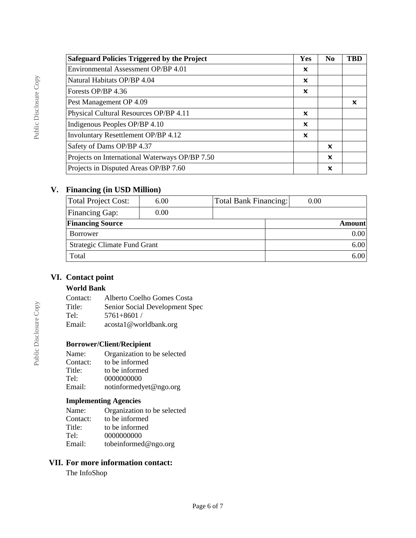| <b>Safeguard Policies Triggered by the Project</b> | Yes                       | N <sub>0</sub>            | TRD |
|----------------------------------------------------|---------------------------|---------------------------|-----|
| Environmental Assessment OP/BP 4.01                | x                         |                           |     |
| Natural Habitats OP/BP 4.04                        | x                         |                           |     |
| Forests OP/BP 4.36                                 | x                         |                           |     |
| Pest Management OP 4.09                            |                           |                           | ×   |
| Physical Cultural Resources OP/BP 4.11             | $\boldsymbol{\mathsf{x}}$ |                           |     |
| Indigenous Peoples OP/BP 4.10                      | x                         |                           |     |
| <b>Involuntary Resettlement OP/BP 4.12</b>         | x                         |                           |     |
| Safety of Dams OP/BP 4.37                          |                           | $\boldsymbol{\mathsf{x}}$ |     |
| Projects on International Waterways OP/BP 7.50     |                           | $\boldsymbol{\mathsf{x}}$ |     |
| Projects in Disputed Areas OP/BP 7.60              |                           | X                         |     |

## **V. Financing (in USD Million)**

| Total Project Cost:          | 6.00 | Total Bank Financing: | 0.00 |               |
|------------------------------|------|-----------------------|------|---------------|
| <b>Financing Gap:</b>        | 0.00 |                       |      |               |
| <b>Financing Source</b>      |      |                       |      | <b>Amount</b> |
| Borrower                     |      |                       |      | 0.00          |
| Strategic Climate Fund Grant |      |                       | 6.00 |               |
| Total                        |      |                       | 6.00 |               |

# **VI. Contact point**

### **World Bank**

| Contact: | Alberto Coelho Gomes Costa     |
|----------|--------------------------------|
| Title:   | Senior Social Development Spec |
| Tel:     | $5761 + 8601$ /                |
| Email:   | $acostal$ @ worldbank.org      |

## **Borrower/Client/Recipient**

| Name:    | Organization to be selected |
|----------|-----------------------------|
| Contact: | to be informed              |
| Title:   | to be informed              |
| Tel:     | 0000000000                  |
| Email:   | notinformedyet@ngo.org      |
|          |                             |

## **Implementing Agencies**

| Name:    | Organization to be selected |
|----------|-----------------------------|
| Contact: | to be informed              |
| Title:   | to be informed              |
| Tel:     | 0000000000                  |
| Email:   | tobeinformed@ngo.org        |

# **VII. For more information contact:**

The InfoShop